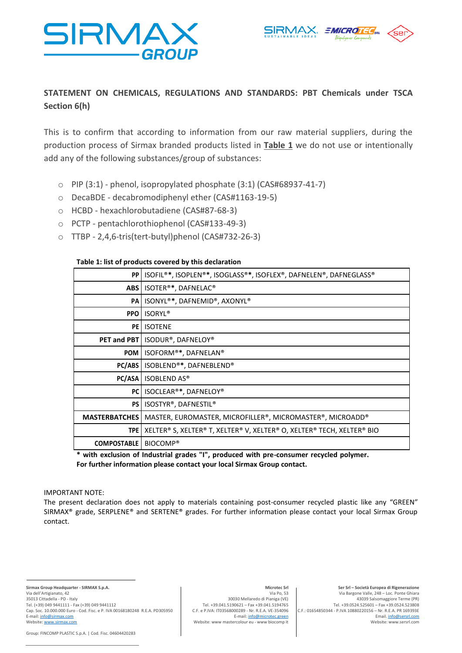



# **STATEMENT ON CHEMICALS, REGULATIONS AND STANDARDS: PBT Chemicals under TSCA Section 6(h)**

This is to confirm that according to information from our raw material suppliers, during the production process of Sirmax branded products listed in **Table 1** we do not use or intentionally add any of the following substances/group of substances:

- $\circ$  PIP (3:1) phenol, isopropylated phosphate (3:1) (CAS#68937-41-7)
- o DecaBDE decabromodiphenyl ether (CAS#1163-19-5)
- o HCBD hexachlorobutadiene (CAS#87-68-3)
- o PCTP pentachlorothiophenol (CAS#133-49-3)
- o TTBP 2,4,6-tris(tert-butyl)phenol (CAS#732-26-3)

# **Table 1: list of products covered by this declaration**

| PP I                 | ISOFIL <sup>®*</sup> , ISOPLEN®*, ISOGLASS®*, ISOFLEX®, DAFNELEN®, DAFNEGLASS® |
|----------------------|--------------------------------------------------------------------------------|
| ABS                  | ISOTER®*, DAFNELAC®                                                            |
| <b>PA</b>            | ISONYL®*, DAFNEMID®, AXONYL®                                                   |
| <b>PPO</b>           | <b>ISORYL<sup>®</sup></b>                                                      |
| PE I                 | <b>ISOTENE</b>                                                                 |
| <b>PET and PBT</b>   | ISODUR®, DAFNELOY®                                                             |
| <b>POM</b>           | ISOFORM®*, DAFNELAN®                                                           |
| PC/ABS               | ISOBLEND®*, DAFNEBLEND®                                                        |
| PC/ASA               | <b>ISOBLEND AS®</b>                                                            |
| PC I                 | ISOCLEAR®*, DAFNELOY®                                                          |
| PS I                 | ISOSTYR®, DAFNESTIL®                                                           |
| <b>MASTERBATCHES</b> | MASTER, EUROMASTER, MICROFILLER®, MICROMASTER®, MICROADD®                      |
| <b>TPE</b>           | XELTER® S, XELTER® T, XELTER® V, XELTER® O, XELTER® TECH, XELTER® BIO          |
| <b>COMPOSTABLE</b>   | BIOCOMP <sup>®</sup>                                                           |

**\* with exclusion of Industrial grades "I", produced with pre-consumer recycled polymer. For further information please contact your local Sirmax Group contact.**

## IMPORTANT NOTE:

The present declaration does not apply to materials containing post-consumer recycled plastic like any "GREEN" SIRMAX® grade, SERPLENE® and SERTENE® grades. For further information please contact your local Sirmax Group contact.

**Sirmax Group Headquarter - SIRMAX S.p.A.** Via dell'Artigianato, 42 35013 Cittadella - PD - Italy Tel. (+39) 049 9441111 - Fax (+39) 049 9441112 Cap. Soc. 10.000.000 Euro - Cod. Fisc. e P. IVA 00168180248 R.E.A. PD305950<br>E-mail: <u>[info@sirmax.com](mailto:info@sirmax.com)</u> Website[: www.sirmax.com](http://www.sirmax.com/)

### Group: FINCOMP PLASTIC S.p.A. | Cod. Fisc. 04604420283

### **Microtec Srl** Via Po, 53

30030 Mellaredo di Pianiga (VE) Tel. +39.041.5190621 – Fax +39.041.5194765 C.F. e P.IVA: IT03568000289 - Nr. R.E.A. VE-354096 E-mail[: info@microtec.green](mailto:info@microtec.green) Website: www mastercolour eu - www biocomp it

**Ser Srl – Società Europea di Rigenerazione** Via Bargone Valle, 248 – Loc. Ponte Ghiara 43039 Salsomaggiore Terme (PR) Tel. +39.0524.525601 – Fax +39.0524.523808 C.F.: 01654850344 - P.IVA 10880220156 – Nr. R.E.A. PR 169393E Email[. info@sersrl.com](mailto:info@sersrl.com) Website: www.sersrl.com